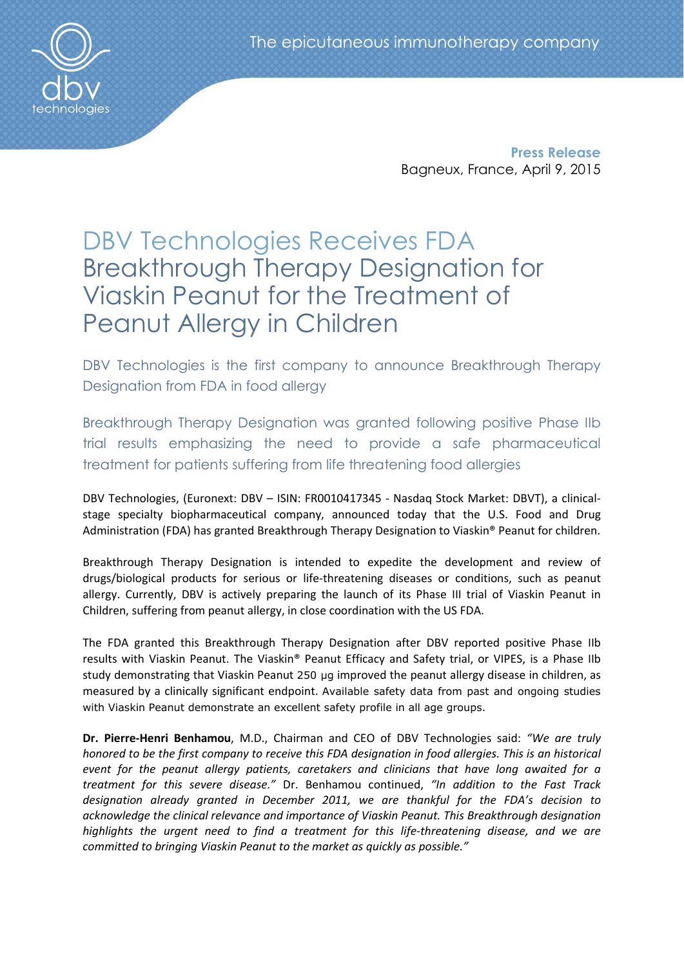Press Release Bagneux, France, April 9, 2015

# DBV Technologies Receives FDA Breakthrough Therapy Designation for Viaskin Peanut for the Treatment of Peanut Allergy in Children

DBV Technologies is the first company to announce Breakthrough Therapy Designation from FDA in food allergy

Breakthrough Therapy Designation was granted following positive Phase IIb trial results emphasizing the need to provide a safe pharmaceutical treatment for patients suffering from life threatening food allergies

DBV Technologies, (Euronext: DBV – ISIN: FR0010417345 - Nasdaq Stock Market: DBVT), a clinicalstage specialty biopharmaceutical company, announced today that the U.S. Food and Drug Administration (FDA) has granted Breakthrough Therapy Designation to Viaskin® Peanut for children.

Breakthrough Therapy Designation is intended to expedite the development and review of drugs/biological products for serious or life-threatening diseases or conditions, such as peanut allergy. Currently, DBV is actively preparing the launch of its Phase III trial of Viaskin Peanut in Children, suffering from peanut allergy, in close coordination with the US FDA.

The FDA granted this Breakthrough Therapy Designation after DBV reported positive Phase IIb results with Viaskin Peanut. The Viaskin® Peanut Efficacy and Safety trial, or VIPES, is a Phase IIb study demonstrating that Viaskin Peanut 250 μg improved the peanut allergy disease in children, as measured by a clinically significant endpoint. Available safety data from past and ongoing studies with Viaskin Peanut demonstrate an excellent safety profile in all age groups.

Dr. Pierre-Henri Benhamou, M.D., Chairman and CEO of DBV Technologies said: *"We are truly honored to be the first company to receive this FDA designation in food allergies. This is an historical event for the peanut allergy patients, caretakers and clinicians that have long awaited for a treatment for this severe disease."* Dr. Benhamou continued, *"In addition to the Fast Track designation already granted in December 2011, we are thankful for the FDA's decision to acknowledge the clinical relevance and importance of Viaskin Peanut. This Breakthrough designation highlights the urgent need to find a treatment for this life-threatening disease, and we are committed to bringing Viaskin Peanut to the market as quickly as possible."*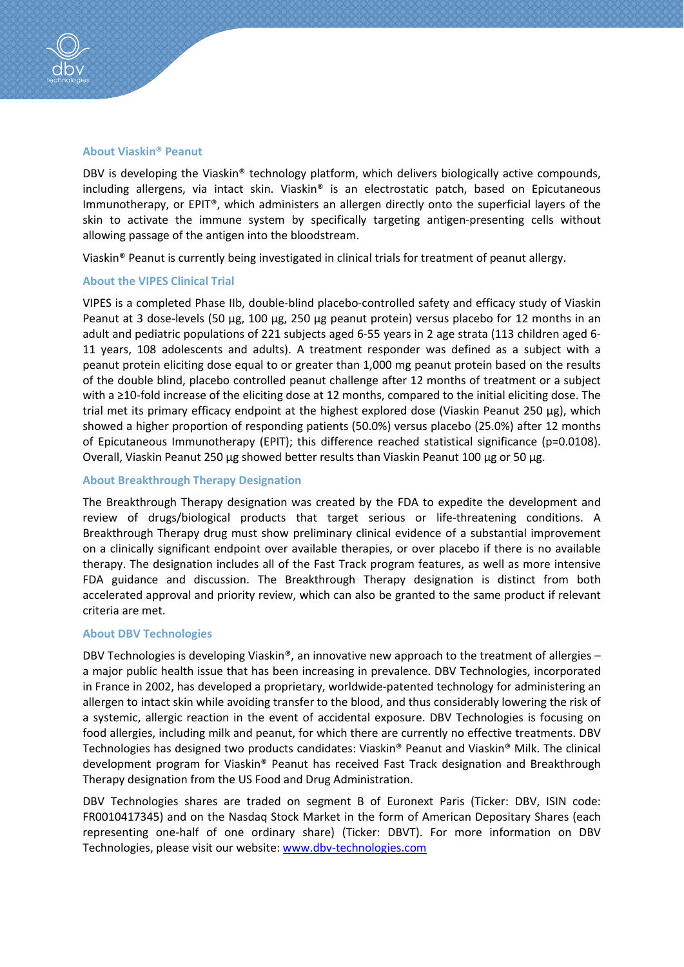

### About Viaskin® Peanut

DBV is developing the Viaskin® technology platform, which delivers biologically active compounds, including allergens, via intact skin. Viaskin® is an electrostatic patch, based on Epicutaneous Immunotherapy, or EPIT®, which administers an allergen directly onto the superficial layers of the skin to activate the immune system by specifically targeting antigen-presenting cells without allowing passage of the antigen into the bloodstream.

Viaskin® Peanut is currently being investigated in clinical trials for treatment of peanut allergy.

### About the VIPES Clinical Trial

VIPES is a completed Phase IIb, double-blind placebo-controlled safety and efficacy study of Viaskin Peanut at 3 dose-levels (50 μg, 100 μg, 250 μg peanut protein) versus placebo for 12 months in an adult and pediatric populations of 221 subjects aged 6-55 years in 2 age strata (113 children aged 6- 11 years, 108 adolescents and adults). A treatment responder was defined as a subject with a peanut protein eliciting dose equal to or greater than 1,000 mg peanut protein based on the results of the double blind, placebo controlled peanut challenge after 12 months of treatment or a subject with a ≥10-fold increase of the eliciting dose at 12 months, compared to the initial eliciting dose. The trial met its primary efficacy endpoint at the highest explored dose (Viaskin Peanut 250 μg), which showed a higher proportion of responding patients (50.0%) versus placebo (25.0%) after 12 months of Epicutaneous Immunotherapy (EPIT); this difference reached statistical significance (p=0.0108). Overall, Viaskin Peanut 250 μg showed better results than Viaskin Peanut 100 μg or 50 μg.

## About Breakthrough Therapy Designation

The Breakthrough Therapy designation was created by the FDA to expedite the development and review of drugs/biological products that target serious or life-threatening conditions. A Breakthrough Therapy drug must show preliminary clinical evidence of a substantial improvement on a clinically significant endpoint over available therapies, or over placebo if there is no available therapy. The designation includes all of the Fast Track program features, as well as more intensive FDA guidance and discussion. The Breakthrough Therapy designation is distinct from both accelerated approval and priority review, which can also be granted to the same product if relevant criteria are met.

# About DBV Technologies

DBV Technologies is developing Viaskin®, an innovative new approach to the treatment of allergies – a major public health issue that has been increasing in prevalence. DBV Technologies, incorporated in France in 2002, has developed a proprietary, worldwide-patented technology for administering an allergen to intact skin while avoiding transfer to the blood, and thus considerably lowering the risk of a systemic, allergic reaction in the event of accidental exposure. DBV Technologies is focusing on food allergies, including milk and peanut, for which there are currently no effective treatments. DBV Technologies has designed two products candidates: Viaskin® Peanut and Viaskin® Milk. The clinical development program for Viaskin® Peanut has received Fast Track designation and Breakthrough Therapy designation from the US Food and Drug Administration.

DBV Technologies shares are traded on segment B of Euronext Paris (Ticker: DBV, ISIN code: FR0010417345) and on the Nasdaq Stock Market in the form of American Depositary Shares (each representing one-half of one ordinary share) (Ticker: DBVT). For more information on DBV Technologies, please visit our website: www.dbv-technologies.com